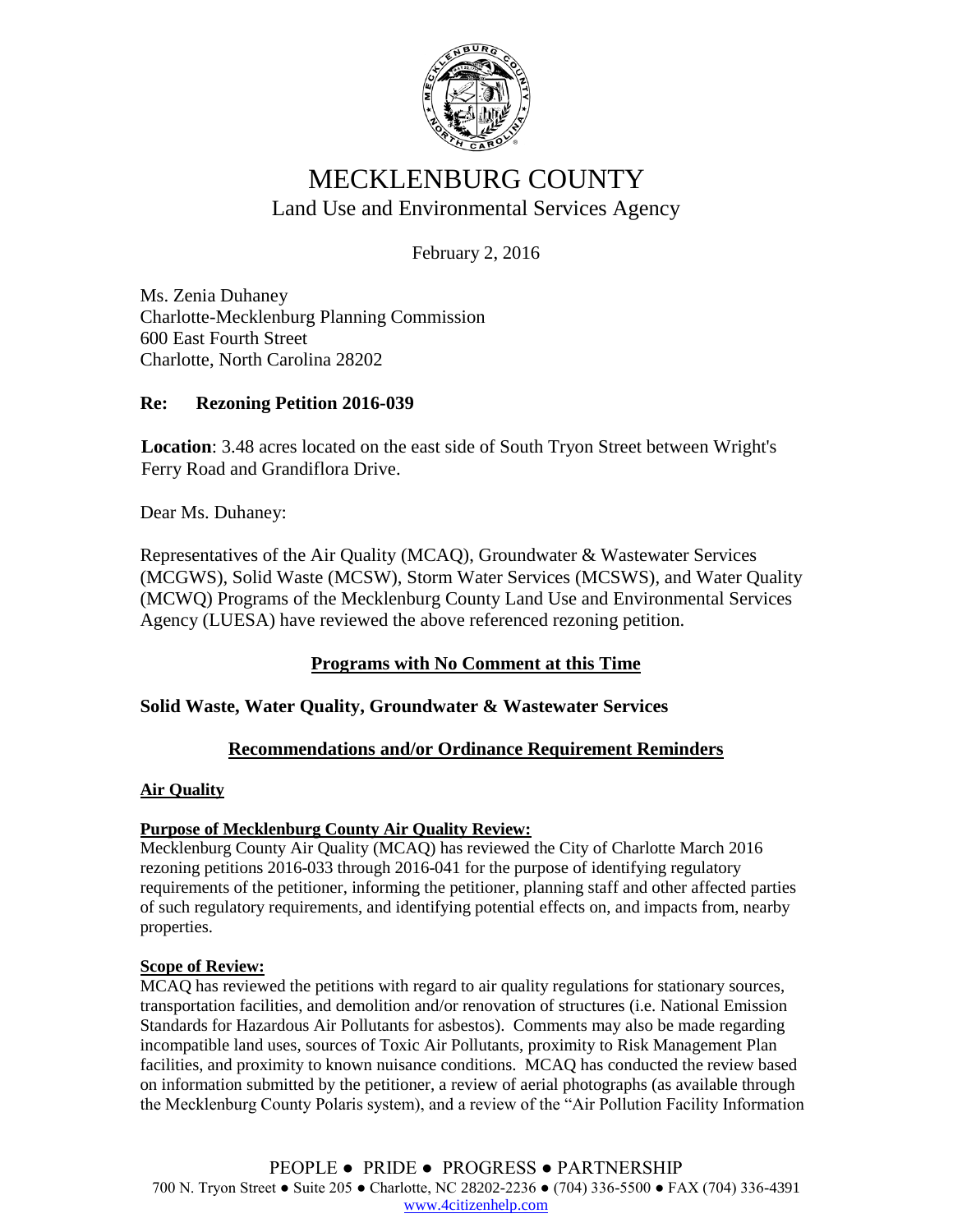

# MECKLENBURG COUNTY Land Use and Environmental Services Agency

February 2, 2016

Ms. Zenia Duhaney Charlotte-Mecklenburg Planning Commission 600 East Fourth Street Charlotte, North Carolina 28202

## **Re: Rezoning Petition 2016-039**

**Location**: 3.48 acres located on the east side of South Tryon Street between Wright's Ferry Road and Grandiflora Drive.

Dear Ms. Duhaney:

Representatives of the Air Quality (MCAQ), Groundwater & Wastewater Services (MCGWS), Solid Waste (MCSW), Storm Water Services (MCSWS), and Water Quality (MCWQ) Programs of the Mecklenburg County Land Use and Environmental Services Agency (LUESA) have reviewed the above referenced rezoning petition.

## **Programs with No Comment at this Time**

### **Solid Waste, Water Quality, Groundwater & Wastewater Services**

### **Recommendations and/or Ordinance Requirement Reminders**

#### **Air Quality**

### **Purpose of Mecklenburg County Air Quality Review:**

Mecklenburg County Air Quality (MCAQ) has reviewed the City of Charlotte March 2016 rezoning petitions 2016-033 through 2016-041 for the purpose of identifying regulatory requirements of the petitioner, informing the petitioner, planning staff and other affected parties of such regulatory requirements, and identifying potential effects on, and impacts from, nearby properties.

#### **Scope of Review:**

MCAQ has reviewed the petitions with regard to air quality regulations for stationary sources, transportation facilities, and demolition and/or renovation of structures (i.e. National Emission Standards for Hazardous Air Pollutants for asbestos). Comments may also be made regarding incompatible land uses, sources of Toxic Air Pollutants, proximity to Risk Management Plan facilities, and proximity to known nuisance conditions. MCAQ has conducted the review based on information submitted by the petitioner, a review of aerial photographs (as available through the Mecklenburg County Polaris system), and a review of the "Air Pollution Facility Information

PEOPLE ● PRIDE ● PROGRESS ● PARTNERSHIP 700 N. Tryon Street ● Suite 205 ● Charlotte, NC 28202-2236 ● (704) 336-5500 ● FAX (704) 336-4391 [www.4citizenhelp.com](http://www.4citizenhelp.com/)